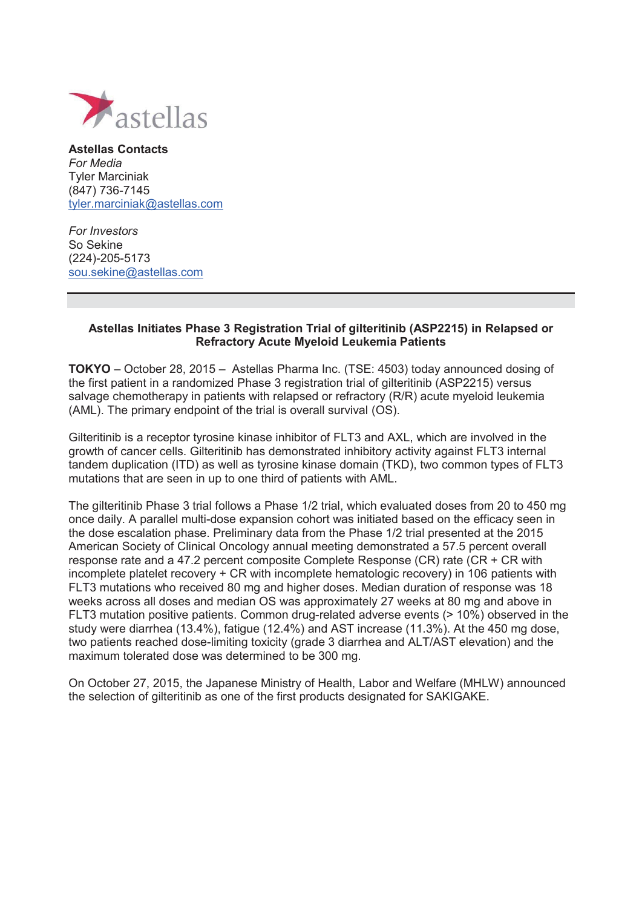

**Astellas Contacts**  *For Media*  Tyler Marciniak (847) 736-7145 tyler.marciniak@astellas.com

*For Investors*  So Sekine (224)-205-5173 sou.sekine@astellas.com

## **Astellas Initiates Phase 3 Registration Trial of gilteritinib (ASP2215) in Relapsed or Refractory Acute Myeloid Leukemia Patients**

**TOKYO** – October 28, 2015 – Astellas Pharma Inc. (TSE: 4503) today announced dosing of the first patient in a randomized Phase 3 registration trial of gilteritinib (ASP2215) versus salvage chemotherapy in patients with relapsed or refractory (R/R) acute myeloid leukemia (AML). The primary endpoint of the trial is overall survival (OS).

Gilteritinib is a receptor tyrosine kinase inhibitor of FLT3 and AXL, which are involved in the growth of cancer cells. Gilteritinib has demonstrated inhibitory activity against FLT3 internal tandem duplication (ITD) as well as tyrosine kinase domain (TKD), two common types of FLT3 mutations that are seen in up to one third of patients with AML.

The gilteritinib Phase 3 trial follows a Phase 1/2 trial, which evaluated doses from 20 to 450 mg once daily. A parallel multi-dose expansion cohort was initiated based on the efficacy seen in the dose escalation phase. Preliminary data from the Phase 1/2 trial presented at the 2015 American Society of Clinical Oncology annual meeting demonstrated a 57.5 percent overall response rate and a 47.2 percent composite Complete Response (CR) rate (CR + CR with incomplete platelet recovery + CR with incomplete hematologic recovery) in 106 patients with FLT3 mutations who received 80 mg and higher doses. Median duration of response was 18 weeks across all doses and median OS was approximately 27 weeks at 80 mg and above in FLT3 mutation positive patients. Common drug-related adverse events (> 10%) observed in the study were diarrhea (13.4%), fatigue (12.4%) and AST increase (11.3%). At the 450 mg dose, two patients reached dose-limiting toxicity (grade 3 diarrhea and ALT/AST elevation) and the maximum tolerated dose was determined to be 300 mg.

On October 27, 2015, the Japanese Ministry of Health, Labor and Welfare (MHLW) announced the selection of gilteritinib as one of the first products designated for SAKIGAKE.